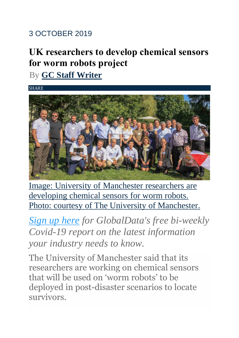## 3 OCTOBER 2019

## **UK researchers to develop chemical sensors for worm robots project**

By **[GC Staff Writer](https://www.governmentcomputing.com/author/krishnachaitanya/)**

**SHARE** 



Image: University of [Manchester](https://www.governmentcomputing.com/social-media/digital-disruptions/manchester-university-worm-robots) researchers are [developing](https://www.governmentcomputing.com/social-media/digital-disruptions/manchester-university-worm-robots) chemical sensors for worm robots. Photo: courtesy of The University of [Manchester.](https://www.governmentcomputing.com/social-media/digital-disruptions/manchester-university-worm-robots)

*[Sign up here](https://globaldata.com/covid-19/?utm_source=Pharmaceutical%20Technology&utm_medium=Banner&utm_campaign=Covid-19%20Executive%20Briefing&utm_content=Sign%20up%20here) for GlobalData's free bi-weekly Covid-19 report on the latest information your industry needs to know.*

The University of Manchester said that its researchers are working on chemical sensors that will be used on 'worm robots' to be deployed in post-disaster scenarios to locate survivors.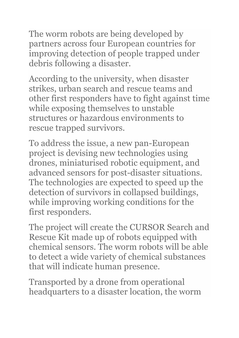The worm robots are being developed by partners across four European countries for improving detection of people trapped under debris following a disaster.

According to the university, when disaster strikes, urban search and rescue teams and other first responders have to fight against time while exposing themselves to unstable structures or hazardous environments to rescue trapped survivors.

To address the issue, a new pan-European project is devising new technologies using drones, miniaturised robotic equipment, and advanced sensors for post-disaster situations. The technologies are expected to speed up the detection of survivors in collapsed buildings, while improving working conditions for the first responders.

The project will create the CURSOR Search and Rescue Kit made up of robots equipped with chemical sensors. The worm robots will be able to detect a wide variety of chemical substances that will indicate human presence.

Transported by a drone from operational headquarters to a disaster location, the worm